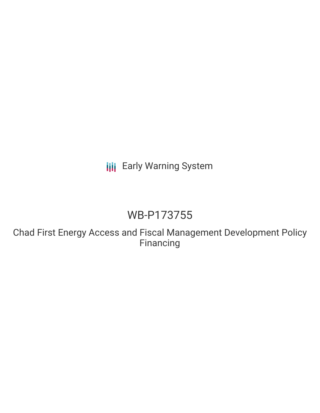# **III** Early Warning System

# WB-P173755

Chad First Energy Access and Fiscal Management Development Policy Financing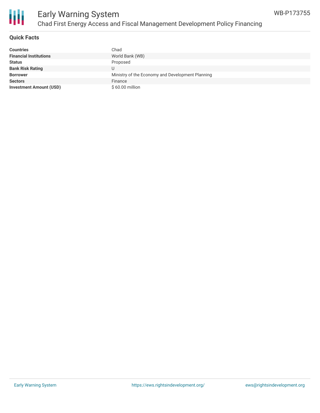

### **Quick Facts**

| <b>Countries</b>               | Chad                                             |
|--------------------------------|--------------------------------------------------|
| <b>Financial Institutions</b>  | World Bank (WB)                                  |
| <b>Status</b>                  | Proposed                                         |
| <b>Bank Risk Rating</b>        |                                                  |
| <b>Borrower</b>                | Ministry of the Economy and Development Planning |
| <b>Sectors</b>                 | Finance                                          |
| <b>Investment Amount (USD)</b> | $$60.00$ million                                 |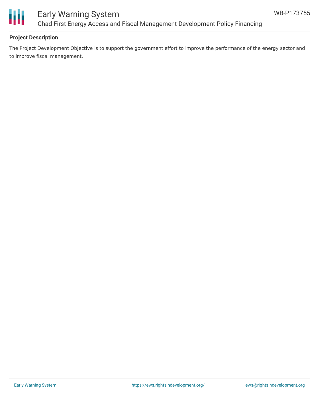

## Early Warning System Chad First Energy Access and Fiscal Management Development Policy Financing

### **Project Description**

The Project Development Objective is to support the government effort to improve the performance of the energy sector and to improve fiscal management.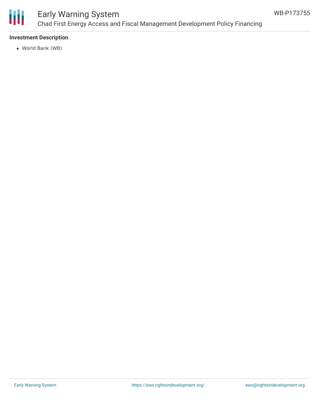

## Early Warning System Chad First Energy Access and Fiscal Management Development Policy Financing

### **Investment Description**

World Bank (WB)